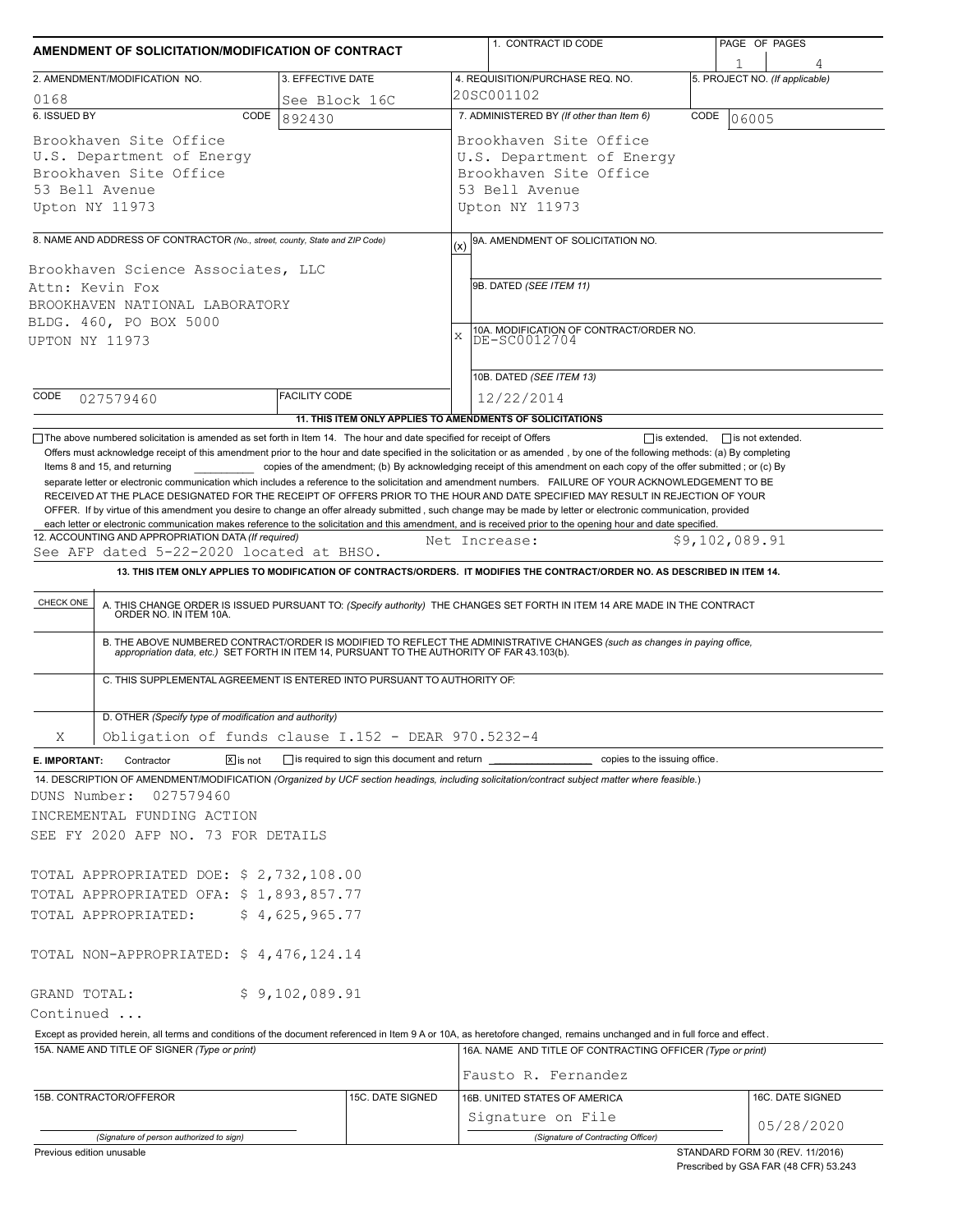| AMENDMENT OF SOLICITATION/MODIFICATION OF CONTRACT                                                                                                                                                                                                                                                                                                                                                                                                                                                                                                                                                                                                             |                      |  | 1. CONTRACT ID CODE                                                                                                                                                                                                   |      | PAGE OF PAGES                   |  |  |  |
|----------------------------------------------------------------------------------------------------------------------------------------------------------------------------------------------------------------------------------------------------------------------------------------------------------------------------------------------------------------------------------------------------------------------------------------------------------------------------------------------------------------------------------------------------------------------------------------------------------------------------------------------------------------|----------------------|--|-----------------------------------------------------------------------------------------------------------------------------------------------------------------------------------------------------------------------|------|---------------------------------|--|--|--|
| 2. AMENDMENT/MODIFICATION NO.                                                                                                                                                                                                                                                                                                                                                                                                                                                                                                                                                                                                                                  | 3. EFFECTIVE DATE    |  | 4. REQUISITION/PURCHASE REQ. NO.                                                                                                                                                                                      |      | 5. PROJECT NO. (If applicable)  |  |  |  |
| 0168                                                                                                                                                                                                                                                                                                                                                                                                                                                                                                                                                                                                                                                           | See Block 16C        |  | 20SC001102                                                                                                                                                                                                            |      |                                 |  |  |  |
| 6. ISSUED BY<br>CODE                                                                                                                                                                                                                                                                                                                                                                                                                                                                                                                                                                                                                                           | 892430               |  | 7. ADMINISTERED BY (If other than Item 6)                                                                                                                                                                             | CODE | 06005                           |  |  |  |
| Brookhaven Site Office<br>U.S. Department of Energy<br>Brookhaven Site Office<br>53 Bell Avenue<br>Upton NY 11973                                                                                                                                                                                                                                                                                                                                                                                                                                                                                                                                              |                      |  | Brookhaven Site Office<br>U.S. Department of Energy<br>Brookhaven Site Office<br>53 Bell Avenue<br>Upton NY 11973                                                                                                     |      |                                 |  |  |  |
|                                                                                                                                                                                                                                                                                                                                                                                                                                                                                                                                                                                                                                                                |                      |  |                                                                                                                                                                                                                       |      |                                 |  |  |  |
| 8. NAME AND ADDRESS OF CONTRACTOR (No., street, county, State and ZIP Code)<br>Brookhaven Science Associates, LLC<br>Attn: Kevin Fox<br>BROOKHAVEN NATIONAL LABORATORY<br>BLDG. 460, PO BOX 5000<br>UPTON NY 11973                                                                                                                                                                                                                                                                                                                                                                                                                                             |                      |  | 9A. AMENDMENT OF SOLICITATION NO.<br>(x)<br>9B. DATED (SEE ITEM 11)<br>10A. MODIFICATION OF CONTRACT/ORDER NO.<br>X<br>DE-SC0012704                                                                                   |      |                                 |  |  |  |
| CODE                                                                                                                                                                                                                                                                                                                                                                                                                                                                                                                                                                                                                                                           | <b>FACILITY CODE</b> |  | 10B. DATED (SEE ITEM 13)                                                                                                                                                                                              |      |                                 |  |  |  |
| 027579460                                                                                                                                                                                                                                                                                                                                                                                                                                                                                                                                                                                                                                                      |                      |  | 12/22/2014<br>11. THIS ITEM ONLY APPLIES TO AMENDMENTS OF SOLICITATIONS                                                                                                                                               |      |                                 |  |  |  |
| Items 8 and 15, and returning<br>separate letter or electronic communication which includes a reference to the solicitation and amendment numbers. FAILURE OF YOUR ACKNOWLEDGEMENT TO BE<br>RECEIVED AT THE PLACE DESIGNATED FOR THE RECEIPT OF OFFERS PRIOR TO THE HOUR AND DATE SPECIFIED MAY RESULT IN REJECTION OF YOUR<br>OFFER. If by virtue of this amendment you desire to change an offer already submitted, such change may be made by letter or electronic communication, provided<br>each letter or electronic communication makes reference to the solicitation and this amendment, and is received prior to the opening hour and date specified. |                      |  | copies of the amendment; (b) By acknowledging receipt of this amendment on each copy of the offer submitted; or (c) By                                                                                                |      |                                 |  |  |  |
| 12. ACCOUNTING AND APPROPRIATION DATA (If required)<br>See AFP dated 5-22-2020 located at BHSO.                                                                                                                                                                                                                                                                                                                                                                                                                                                                                                                                                                |                      |  | Net Increase:                                                                                                                                                                                                         |      | \$9,102,089.91                  |  |  |  |
|                                                                                                                                                                                                                                                                                                                                                                                                                                                                                                                                                                                                                                                                |                      |  | 13. THIS ITEM ONLY APPLIES TO MODIFICATION OF CONTRACTS/ORDERS. IT MODIFIES THE CONTRACT/ORDER NO. AS DESCRIBED IN ITEM 14.                                                                                           |      |                                 |  |  |  |
| C. THIS SUPPLEMENTAL AGREEMENT IS ENTERED INTO PURSUANT TO AUTHORITY OF:<br>D. OTHER (Specify type of modification and authority)                                                                                                                                                                                                                                                                                                                                                                                                                                                                                                                              |                      |  | B. THE ABOVE NUMBERED CONTRACT/ORDER IS MODIFIED TO REFLECT THE ADMINISTRATIVE CHANGES (such as changes in paying office, appropriation data, etc.) SET FORTH IN ITEM 14, PURSUANT TO THE AUTHORITY OF FAR 43.103(b). |      |                                 |  |  |  |
| Obligation of funds clause I.152 - DEAR 970.5232-4<br>Χ                                                                                                                                                                                                                                                                                                                                                                                                                                                                                                                                                                                                        |                      |  |                                                                                                                                                                                                                       |      |                                 |  |  |  |
| $\boxed{\mathsf{x}}$ is not<br>Contractor<br>E. IMPORTANT:                                                                                                                                                                                                                                                                                                                                                                                                                                                                                                                                                                                                     |                      |  | is required to sign this document and return ___________________________ copies to the issuing office.                                                                                                                |      |                                 |  |  |  |
| 14. DESCRIPTION OF AMENDMENT/MODIFICATION (Organized by UCF section headings, including solicitation/contract subject matter where feasible.)<br>DUNS Number:<br>027579460<br>INCREMENTAL FUNDING ACTION<br>SEE FY 2020 AFP NO. 73 FOR DETAILS<br>TOTAL APPROPRIATED DOE: \$ 2,732,108.00<br>TOTAL APPROPRIATED OFA: \$1,893,857.77<br>TOTAL APPROPRIATED:<br>TOTAL NON-APPROPRIATED: \$4,476,124.14                                                                                                                                                                                                                                                           | \$4,625,965.77       |  |                                                                                                                                                                                                                       |      |                                 |  |  |  |
| GRAND TOTAL:<br>Continued                                                                                                                                                                                                                                                                                                                                                                                                                                                                                                                                                                                                                                      | \$9,102,089.91       |  |                                                                                                                                                                                                                       |      |                                 |  |  |  |
| Except as provided herein, all terms and conditions of the document referenced in Item 9 A or 10A, as heretofore changed, remains unchanged and in full force and effect.                                                                                                                                                                                                                                                                                                                                                                                                                                                                                      |                      |  |                                                                                                                                                                                                                       |      |                                 |  |  |  |
| 15A. NAME AND TITLE OF SIGNER (Type or print)                                                                                                                                                                                                                                                                                                                                                                                                                                                                                                                                                                                                                  |                      |  | 16A. NAME AND TITLE OF CONTRACTING OFFICER (Type or print)                                                                                                                                                            |      |                                 |  |  |  |
|                                                                                                                                                                                                                                                                                                                                                                                                                                                                                                                                                                                                                                                                |                      |  | Fausto R. Fernandez                                                                                                                                                                                                   |      |                                 |  |  |  |
| 15B. CONTRACTOR/OFFEROR                                                                                                                                                                                                                                                                                                                                                                                                                                                                                                                                                                                                                                        | 15C. DATE SIGNED     |  | 16B. UNITED STATES OF AMERICA<br>Signature on File                                                                                                                                                                    |      | 16C. DATE SIGNED                |  |  |  |
| (Signature of person authorized to sign)                                                                                                                                                                                                                                                                                                                                                                                                                                                                                                                                                                                                                       |                      |  | (Signature of Contracting Officer)                                                                                                                                                                                    |      | 05/28/2020                      |  |  |  |
| Previous edition unusable                                                                                                                                                                                                                                                                                                                                                                                                                                                                                                                                                                                                                                      |                      |  |                                                                                                                                                                                                                       |      | STANDARD FORM 30 (REV. 11/2016) |  |  |  |

Prescribed by GSA FAR (48 CFR) 53.243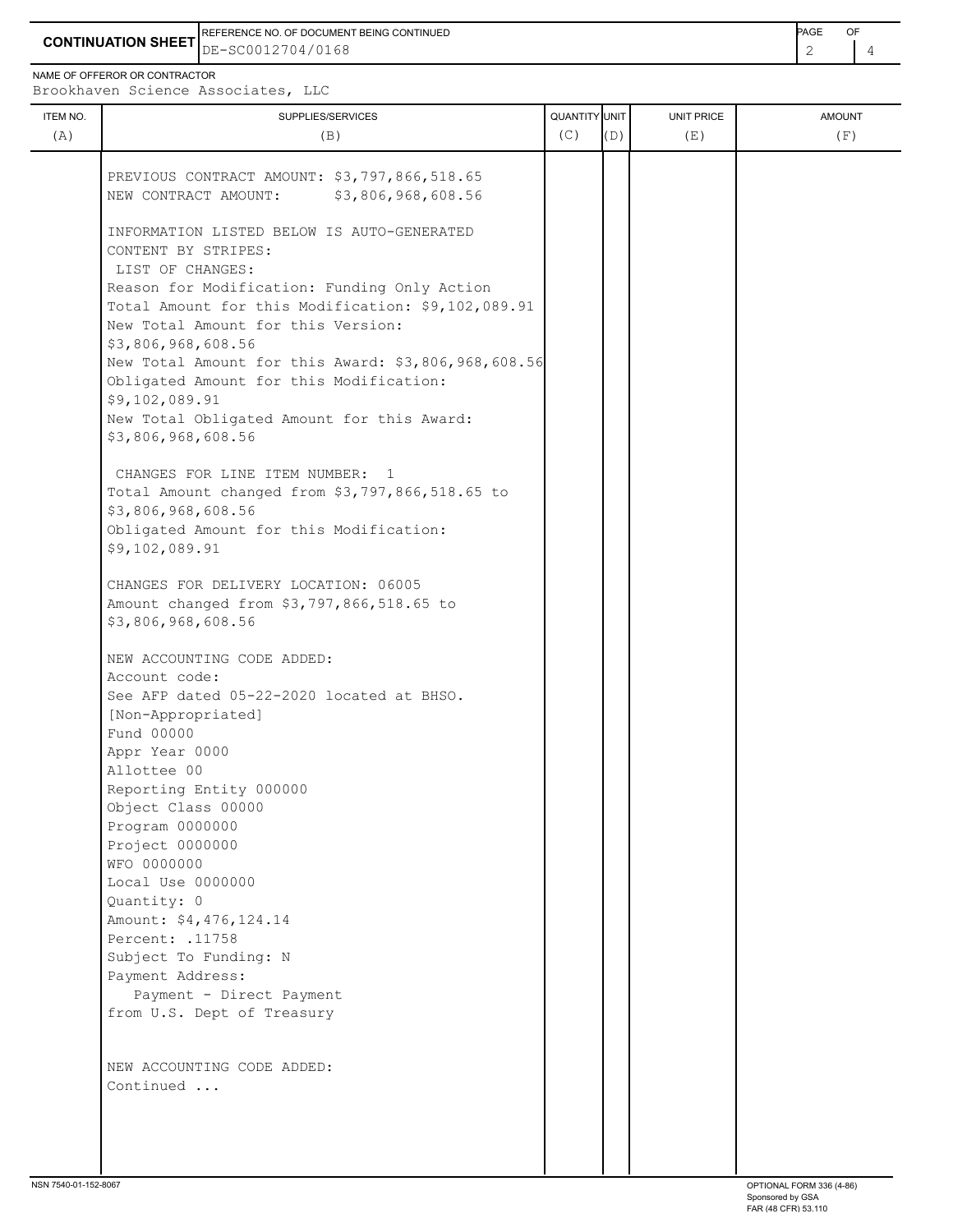**CONTINUATION SHEET** DE-SC0012704/0168 2 4 REFERENCE NO. OF DOCUMENT BEING CONTINUED **A CONTINUED PAGE OF PAGE OF PAGE OF PAGE** 

NAME OF OFFEROR OR CONTRACTOR

ITEM NO. ┃ SUPPLIES/SERVICES UNIT PRICE AMOUNT Brookhaven Science Associates, LLC (A)  $(B)$  (B)  $(C)$   $(D)$  (E)  $(E)$  (F) PREVIOUS CONTRACT AMOUNT: \$3,797,866,518.65 NEW CONTRACT AMOUNT: \$3,806,968,608.56 INFORMATION LISTED BELOW IS AUTO-GENERATED CONTENT BY STRIPES: LIST OF CHANGES: Reason for Modification: Funding Only Action Total Amount for this Modification: \$9,102,089.91 New Total Amount for this Version: \$3,806,968,608.56 New Total Amount for this Award: \$3,806,968,608.56 Obligated Amount for this Modification: \$9,102,089.91 New Total Obligated Amount for this Award: \$3,806,968,608.56 CHANGES FOR LINE ITEM NUMBER: 1 Total Amount changed from \$3,797,866,518.65 to \$3,806,968,608.56 Obligated Amount for this Modification: \$9,102,089.91 CHANGES FOR DELIVERY LOCATION: 06005 Amount changed from \$3,797,866,518.65 to \$3,806,968,608.56 NEW ACCOUNTING CODE ADDED: Account code: See AFP dated 05-22-2020 located at BHSO. [Non-Appropriated] Fund 00000 Appr Year 0000 Allottee 00 Reporting Entity 000000

 Subject To Funding: N Payment Address: Payment - Direct Payment from U.S. Dept of Treasury

 Object Class 00000 Program 0000000 Project 0000000 WFO 0000000

Local Use 0000000

Percent: .11758

Amount: \$4,476,124.14

Quantity: 0

 NEW ACCOUNTING CODE ADDED: Continued ...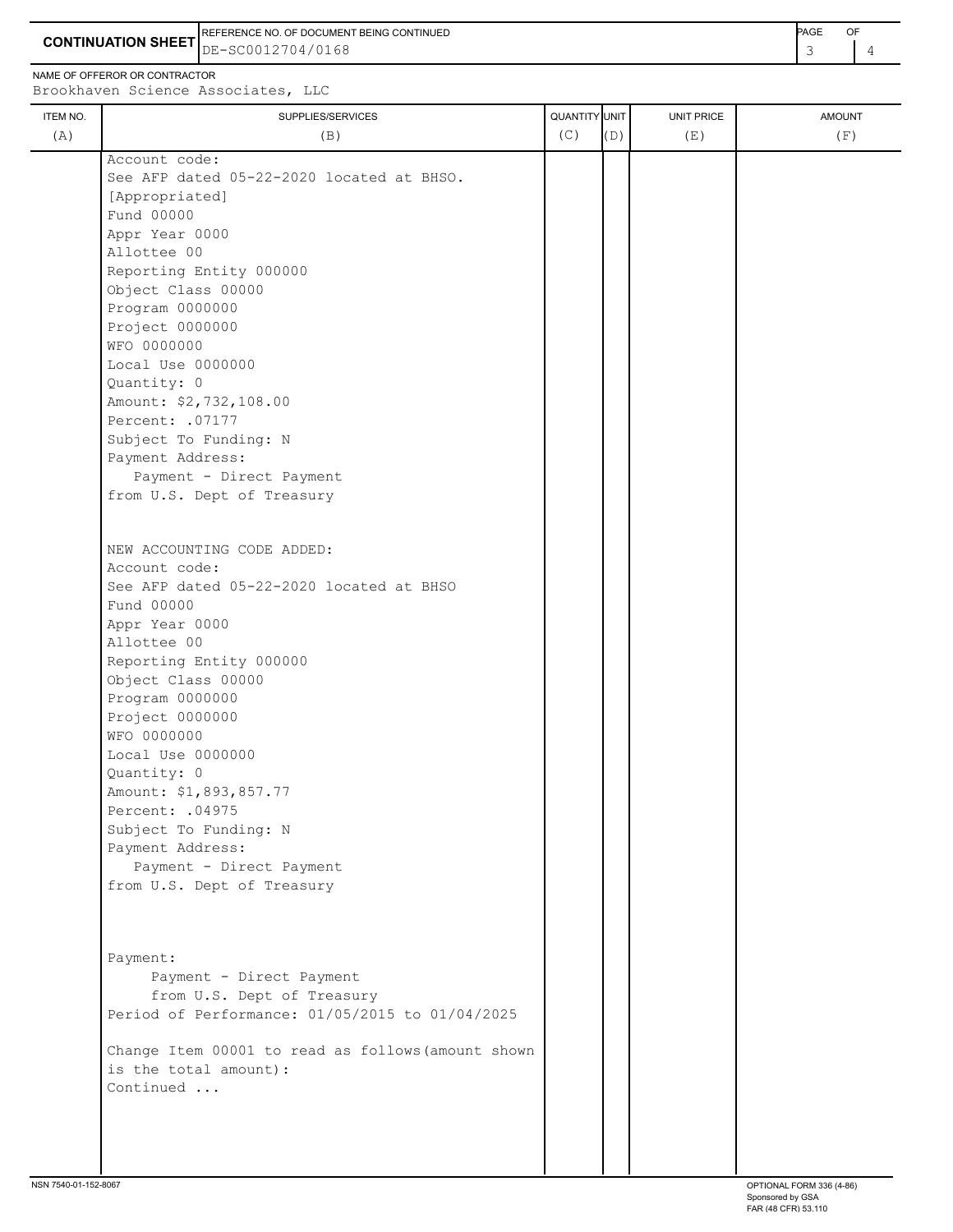**CONTINUATION SHEET** DE-SC0012704/0168 **And the set of the set of the set of the set of the set of the set of the set of the set of the set of the set of the set of the set of the set of the set of the set of the set of th** REFERENCE NO. OF DOCUMENT BEING CONTINUED **PAGE** OF

NAME OF OFFEROR OR CONTRACTOR

| ITEM NO. | SUPPLIES/SERVICES                                  | QUANTITY UNIT |     | UNIT PRICE | <b>AMOUNT</b> |
|----------|----------------------------------------------------|---------------|-----|------------|---------------|
| (A)      | (B)                                                | (C)           | (D) | (E)        | (F)           |
|          | Account code:                                      |               |     |            |               |
|          | See AFP dated 05-22-2020 located at BHSO.          |               |     |            |               |
|          | [Appropriated]                                     |               |     |            |               |
|          | Fund 00000                                         |               |     |            |               |
|          | Appr Year 0000                                     |               |     |            |               |
|          | Allottee 00                                        |               |     |            |               |
|          | Reporting Entity 000000                            |               |     |            |               |
|          | Object Class 00000                                 |               |     |            |               |
|          | Program 0000000                                    |               |     |            |               |
|          | Project 0000000                                    |               |     |            |               |
|          | WFO 0000000                                        |               |     |            |               |
|          | Local Use 0000000                                  |               |     |            |               |
|          | Quantity: 0                                        |               |     |            |               |
|          | Amount: \$2,732,108.00                             |               |     |            |               |
|          | Percent: . 07177                                   |               |     |            |               |
|          | Subject To Funding: N                              |               |     |            |               |
|          | Payment Address:                                   |               |     |            |               |
|          | Payment - Direct Payment                           |               |     |            |               |
|          | from U.S. Dept of Treasury                         |               |     |            |               |
|          |                                                    |               |     |            |               |
|          |                                                    |               |     |            |               |
|          | NEW ACCOUNTING CODE ADDED:                         |               |     |            |               |
|          | Account code:                                      |               |     |            |               |
|          | See AFP dated 05-22-2020 located at BHSO           |               |     |            |               |
|          | Fund 00000                                         |               |     |            |               |
|          | Appr Year 0000                                     |               |     |            |               |
|          | Allottee 00                                        |               |     |            |               |
|          | Reporting Entity 000000                            |               |     |            |               |
|          | Object Class 00000                                 |               |     |            |               |
|          | Program 0000000                                    |               |     |            |               |
|          | Project 0000000                                    |               |     |            |               |
|          | WFO 0000000                                        |               |     |            |               |
|          | Local Use 0000000                                  |               |     |            |               |
|          | Quantity: 0                                        |               |     |            |               |
|          | Amount: \$1,893,857.77                             |               |     |            |               |
|          | Percent: .04975                                    |               |     |            |               |
|          | Subject To Funding: N                              |               |     |            |               |
|          | Payment Address:                                   |               |     |            |               |
|          | Payment - Direct Payment                           |               |     |            |               |
|          | from U.S. Dept of Treasury                         |               |     |            |               |
|          |                                                    |               |     |            |               |
|          | Payment:                                           |               |     |            |               |
|          | Payment - Direct Payment                           |               |     |            |               |
|          | from U.S. Dept of Treasury                         |               |     |            |               |
|          | Period of Performance: 01/05/2015 to 01/04/2025    |               |     |            |               |
|          |                                                    |               |     |            |               |
|          | Change Item 00001 to read as follows (amount shown |               |     |            |               |
|          | is the total amount):                              |               |     |            |               |
|          | Continued                                          |               |     |            |               |
|          |                                                    |               |     |            |               |
|          |                                                    |               |     |            |               |
|          |                                                    |               |     |            |               |
|          |                                                    |               |     |            |               |